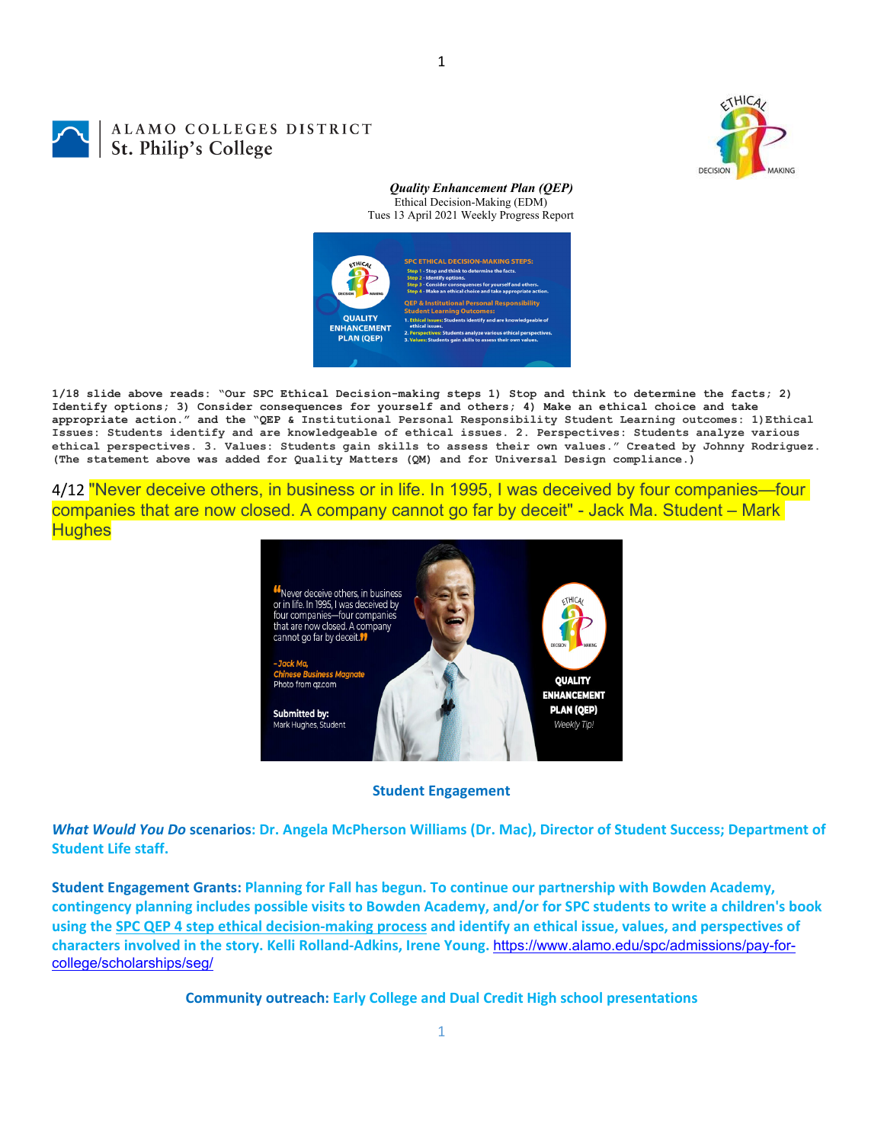

## ALAMO COLLEGES DISTRICT St. Philip's College

*Quality Enhancement Plan (QEP)* Ethical Decision-Making (EDM) Tues 13 April 2021 Weekly Progress Report



**1/18 slide above reads: "Our SPC Ethical Decision-making steps 1) Stop and think to determine the facts; 2) Identify options; 3) Consider consequences for yourself and others; 4) Make an ethical choice and take appropriate action." and the "QEP & Institutional Personal Responsibility Student Learning outcomes: 1)Ethical Issues: Students identify and are knowledgeable of ethical issues. 2. Perspectives: Students analyze various ethical perspectives. 3. Values: Students gain skills to assess their own values." Created by Johnny Rodriguez. (The statement above was added for Quality Matters (QM) and for Universal Design compliance.)**

4/12 "Never deceive others, in business or in life. In 1995, I was deceived by four companies—four companies that are now closed. A company cannot go far by deceit" - Jack Ma. Student – Mark **Hughes** 



## **Student Engagement**

What Would You Do scenarios: Dr. Angela McPherson Williams (Dr. Mac), Director of Student Success; Department of **Student Life staff.**

**Student Engagement Grants: Planning for Fall has begun. To continue our partnership with Bowden Academy,** contingency planning includes possible visits to Bowden Academy, and/or for SPC students to write a children's book using the SPC QEP 4 step ethical decision-making process and identify an ethical issue, values, and perspectives of **characters involved in the story. Kelli Rolland‐Adkins, Irene Young.** https://www.alamo.edu/spc/admissions/pay-forcollege/scholarships/seg/

**Community outreach: Early College and Dual Credit High school presentations**

1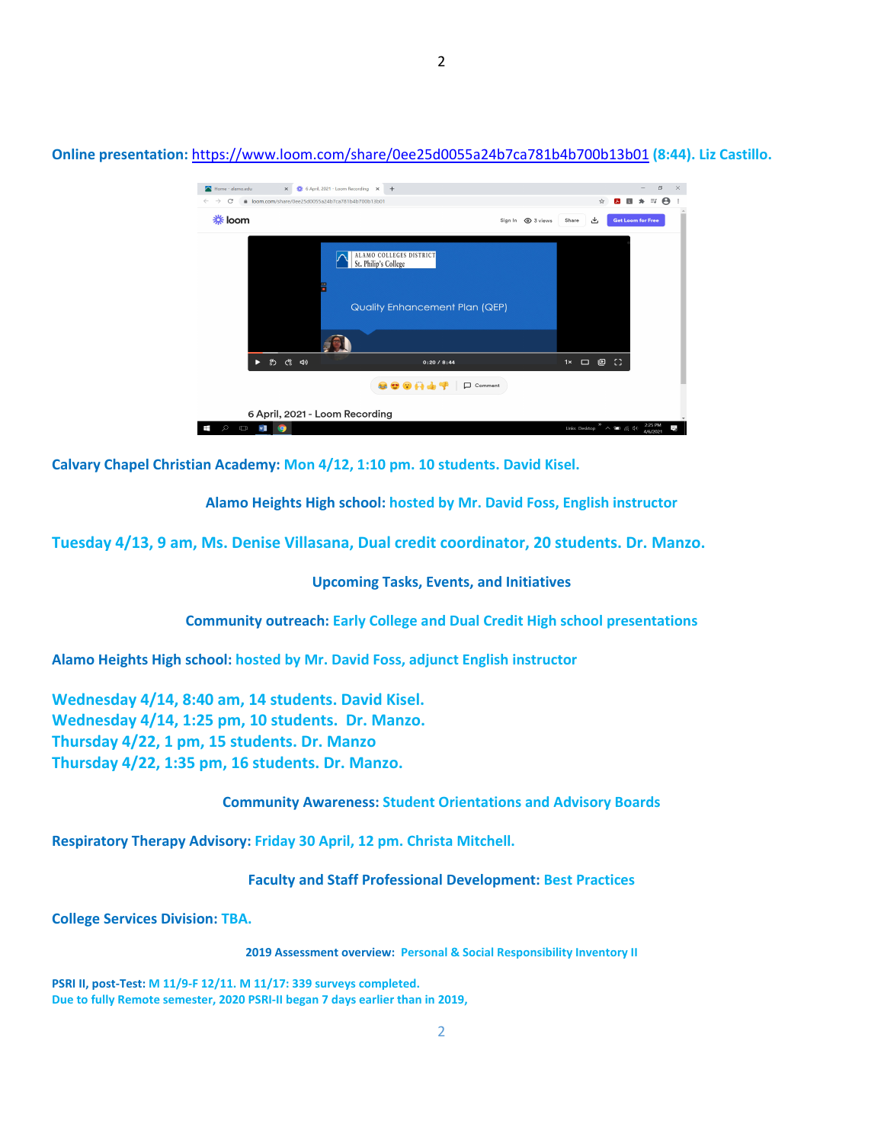

**Online presentation:** https://www.loom.com/share/0ee25d0055a24b7ca781b4b700b13b01 **(8:44). Liz Castillo.**

**Calvary Chapel Christian Academy: Mon 4/12, 1:10 pm. 10 students. David Kisel.**

**Alamo Heights High school: hosted by Mr. David Foss, English instructor**

**Tuesday 4/13, 9 am, Ms. Denise Villasana, Dual credit coordinator, 20 students. Dr. Manzo.**

**Upcoming Tasks, Events, and Initiatives**

**Community outreach: Early College and Dual Credit High school presentations**

**Alamo Heights High school: hosted by Mr. David Foss, adjunct English instructor**

**Wednesday 4/14, 8:40 am, 14 students. David Kisel. Wednesday 4/14, 1:25 pm, 10 students. Dr. Manzo. Thursday 4/22, 1 pm, 15 students. Dr. Manzo Thursday 4/22, 1:35 pm, 16 students. Dr. Manzo.**

## **Community Awareness: Student Orientations and Advisory Boards**

**Respiratory Therapy Advisory: Friday 30 April, 12 pm. Christa Mitchell.**

**Faculty and Staff Professional Development: Best Practices**

**College Services Division: TBA.**

**2019 Assessment overview: Personal & Social Responsibility Inventory II**

**PSRI II, post‐Test: M 11/9‐F 12/11. M 11/17: 339 surveys completed. Due to fully Remote semester, 2020 PSRI‐II began 7 days earlier than in 2019,**